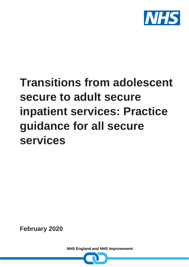

# **Transitions from adolescent secure to adult secure inpatient services: Practice guidance for all secure services**

**February 2020**

**NHS England and NHS Improvement**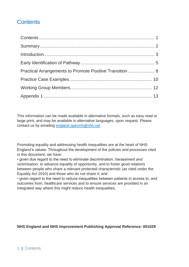## <span id="page-1-0"></span>**Contents**

| Practical Arrangements to Promote Positive Transition  8 |  |
|----------------------------------------------------------|--|
|                                                          |  |
|                                                          |  |
|                                                          |  |

This information can be made available in alternative formats, such as easy read or large print, and may be available in alternative languages, upon request. Please contact us by emailing [england.specmh@nhs.net](mailto:england.specmh@nhs.net)

Promoting equality and addressing health inequalities are at the heart of NHS England's values. Throughout the development of the policies and processes cited in this document, we have:

• given due regard to the need to eliminate discrimination, harassment and victimisation, to advance equality of opportunity, and to foster good relations between people who share a relevant protected characteristic (as cited under the Equality Act 2010) and those who do not share it; and

• given regard to the need to reduce inequalities between patients in access to, and outcomes from, healthcare services and to ensure services are provided in an integrated way where this might reduce health inequalities.

#### **NHS England and NHS Improvement Publishing Approval Reference: 001029**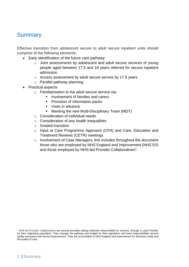### <span id="page-2-0"></span>**Summary**

Effective transition from adolescent secure to adult secure inpatient units should comprise of the following elements:

- Early identification of the future care pathway:
	- o Joint assessments by adolescent and adult secure services of young people aged between 17.5 and 18 years referred for secure inpatient admission.
	- o Access assessment by adult secure service by 17.5 years
	- o Parallel pathway planning
- Practical aspects:
	- o Familiarisation to the adult secure service via:
		- Involvement of families and carers
		- Provision of information packs
		- Visits in advance
		- Meeting the new Multi-Disciplinary Team (MDT)
	- o Consideration of individual needs
	- o Consideration of any health inequalities
	- o Graded transition
	- o Input at Care Programme Approach (CPA) and Care, Education and Treatment Reviews (CETR) meetings
	- o Involvement of Case Managers, this includes throughout the document those who are employed by NHS England and Improvement (NHS E/I) and those employed by NHS-led Provider Collaboratives<sup>1</sup>.

<sup>1</sup> NHS-led Provider Collaboratives are several providers taking collective responsibility for services, through a Lead Provider for their originating population. They manage the pathway and budget for their population and have responsibilities around quality assurance and service improvement. They are accountable to NHS England and Improvement for decisions made and the quality of care.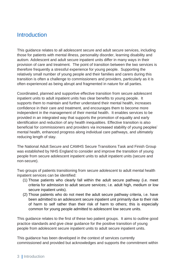#### <span id="page-3-0"></span>**Introduction**

This guidance relates to all adolescent secure and adult secure services, including those for patients with mental illness, personality disorder, learning disability and autism. Adolescent and adult secure inpatient units differ in many ways in their provision of care and treatment. The point of transition between the two services is therefore frequently a stressful experience for young people. Supporting the relatively small number of young people and their families and carers during this transition is often a challenge to commissioners and providers, particularly as it is often experienced as being abrupt and fragmented in nature for all parties.

Coordinated, planned and supportive effective transition from secure adolescent inpatient units to adult inpatient units has clear benefits to young people. It supports them to maintain and further understand their mental health, increases confidence in their care and treatment, and encourages them to become more independent in the management of their mental health. It enables services to be provided in an integrated way that supports the promotion of equality and early identification and reduction of any health inequalities. Effective transition is also beneficial for commissioners and providers via increased stability of young peoples' mental health, enhanced progress along individual care pathways, and ultimately reducing length of stay.

The National Adult Secure and CAMHS Secure Transitions Task and Finish Group was established by NHS England to consider and improve the transition of young people from secure adolescent inpatient units to adult inpatient units (secure and non-secure).

Two groups of patients transitioning from secure adolescent to adult mental health inpatient services can be identified:

- (1) Those patients who clearly fall within the adult secure pathway (i.e. meet criteria for admission to adult secure services; i.e. adult high, medium or low secure inpatient units).
- (2) Those patients who do not meet the adult secure pathway criteria, i.e. have been admitted to an adolescent secure inpatient unit primarily due to their risk of harm to self rather than their risk of harm to others; this is especially common for young people admitted to adolescent low secure units.

This guidance relates to the first of these two patient groups. It aims to outline good practice standards and give clear guidance for the positive transition of young people from adolescent secure inpatient units to adult secure inpatient units.

This guidance has been developed in the context of services currently commissioned and provided but acknowledges and supports the commitment within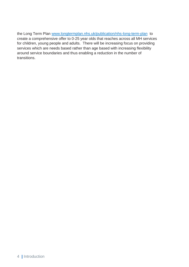the Long Term Plan [www.longtermplan.nhs.uk/publication/nhs-long-term-plan](http://www.longtermplan.nhs.uk/publication/nhs-long-term-plan) to create a comprehensive offer to 0-25 year olds that reaches across all MH services for children, young people and adults. There will be increasing focus on providing services which are needs based rather than age based with increasing flexibility around service boundaries and thus enabling a reduction in the number of transitions.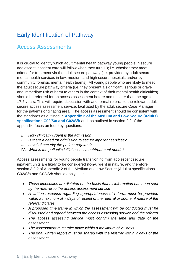## <span id="page-5-0"></span>Early Identification of Pathway

## Access Assessments

It is crucial to identify which adult mental health pathway young people in secure adolescent inpatient care will follow when they turn 18; i.e. whether they meet criteria for treatment via the adult secure pathway (i.e. provided by adult secure mental health services in low, medium and high secure hospitals and/or by community forensic mental health teams). All young people who are likely to meet the adult secure pathway criteria (i.e. they present a significant, serious or grave and immediate risk of harm to others in the context of their mental health difficulties) should be referred for an access assessment before and no later than the age to 17.5 years. This will require discussion with and formal referral to the relevant adult secure access assessment service, facilitated by the adult secure Case Manager for the patients originating area. The access assessment should be consistent with the standards as outlined in **[Appendix 2 of the Medium and Low Secure \(Adults\)](https://www.england.nhs.uk/commissioning/spec-services/npc-crg/group-c/c02/)  [specifications C02/S/a and C02/S/b](https://www.england.nhs.uk/commissioning/spec-services/npc-crg/group-c/c02/)** and, as outlined in section 2.2 of the appendix, focus on four key questions:

- *I. How clinically urgent is the admission*
- *II. Is there a need for admission to secure inpatient services?*
- *III. Level of security the patient requires?*
- IV. *What is the patient's initial assessment/treatment needs?*

Access assessments for young people transitioning from adolescent secure inpatient units are likely to be considered **non-urgent** in nature, and therefore section 3.2.2 of Appendix 2 of the Medium and Low Secure (Adults) specifications C02/S/a and C02/S/b should apply; i.e.:

- *These timescales are dictated on the basis that all information has been sent by the referrer to the access assessment service*
- *A written response regarding appropriateness of referral must be provided within a maximum of 7 days of receipt of the referral or sooner if nature of the referral dictates*
- *A proposed time frame in which the assessment will be conducted must be discussed and agreed between the access assessing service and the referrer*
- *The access assessing service must confirm the time and date of the assessment*
- *The assessment must take place within a maximum of 21 days*
- *The final written report must be shared with the referrer within 7 days of the assessment.*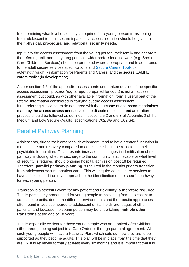In determining what level of security is required for a young person transitioning from adolescent to adult secure inpatient care, consideration should be given to their **physical, procedural and relational security needs**.

Input into the access assessment from the young person, their family and/or carers, the referring unit, and the young person's wider professional network (e.g. Social Care Children's Services) should be promoted where appropriate and in adherence to the adult secure services specifications and [Secure Carers'](http://www.england.nhs.uk/securecarerstoolkit) Toolkit - #Gettingthrough - information for Parents and Carers, and the secure CAMHS carers toolkit (in development).

As per section 4.3 of the appendix, assessments undertaken outside of the specific access assessment process (e.g. a report prepared for court) is not an access assessment but could, as with other available information, form a useful part of the referral information considered in carrying out the access assessment. If the referring clinical team do not agree with the outcome of and recommendations made by the access assessment service, the dispute resolution and arbitration process should be followed as outlined in sections 5.2 and 5.3 of Appendix 2 of the Medium and Low Secure (Adults) specifications C02/S/a and C02/S/b.

## Parallel Pathway Planning

Adolescents, due to their emotional development, tend to have greater fluctuation in mental state and recovery compared to adults; this should be reflected in their psychiatric formulation. This presents increased challenges in identification of their pathway, including whether discharge to the community is achievable or what level of security is required should ongoing hospital admission post 18 be required. Therefore, **parallel pathway planning** is required in the months prior to transition from adolescent secure inpatient care. This will require adult secure services to have a flexible and inclusive approach to the identification of the specific pathway for each young person.

Transition is a stressful event for any patient and **flexibility is therefore required**. This is particularly pronounced for young people transitioning from adolescent to adult secure units, due to the different environments and therapeutic approaches often found in adult compared to adolescent units, the different ages of other patients, and because the young person may be undertaking **multiple other transitions** at the age of 18 years.

This is especially evident for those young people who are Looked After Children, either through being subject to a Care Order or through parental agreement. All such young people will have a Pathway Plan, which sets out how they are to be supported as they become adults. This plan will be in place from the time that they are 16. It is reviewed formally at least every six months and it is important that it is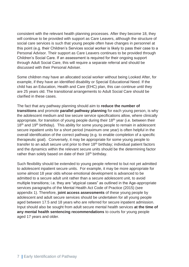consistent with the relevant health planning processes. After they become 18, they will continue to be provided with support as Care Leavers, although the structure of social care services is such that young people often have changes in personnel at this point (e.g. their Children's Services social worker is likely to pass their case to a Personal Advisor. Their support as Care Leavers continues to be provided through Children's Social Care. If an assessment is required for their ongoing support through Adult Social Care, this will require a separate referral and should be discussed with their Personal Adviser.

Some children may have an allocated social worker without being Looked After, for example, if they have an identified disability or Special Educational Need. If the child has an Education, Health and Care (EHC) plan, this can continue until they are 25 years old. The transitional arrangements to Adult Social Care should be clarified in these cases.

The fact that any pathway planning should aim to **reduce the number of transitions** and promote **parallel pathway planning** for each young person, is why the adolescent medium and low secure service specifications allow, where clinically appropriate, for transition of young people during their 18<sup>th</sup> year (i.e. between their 18<sup>th</sup> and 19<sup>th</sup> birthday). This ability for some young people to remain in adolescent secure inpatient units for a short period (maximum one year) is often helpful in the overall identification of the correct pathway (e.g. to enable completion of a specific therapeutic goal). Conversely, it may be appropriate for some young people to transfer to an adult secure unit prior to their  $18<sup>th</sup>$  birthday; individual patient factors and the dynamics within the relevant secure units should be the determining factor rather than solely based on date of their 18<sup>th</sup> birthday.

Such flexibility should be extended to young people referred to but not yet admitted to adolescent inpatient secure units. For example, it may be more appropriate for some almost 18 year olds whose emotional development is advanced to be admitted to a secure adult unit rather than a secure adolescent unit, to avoid multiple transitions; i.e. they are "atypical cases" as outlined in the Age-appropriate services paragraphs of the Mental Health Act Code of Practice (2015) (see appendix 1). Therefore, **joint access assessments** of these young people by adolescent and adult secure services should be undertaken for all young people aged between 17.5 and 18 years who are referred for secure inpatient admission. Input should also be sought from adult secure mental health services **at the time of any mental health sentencing recommendations** to courts for young people aged 17 years and older.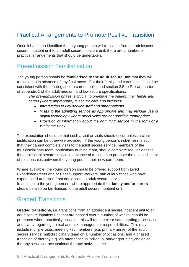## <span id="page-8-0"></span>Practical Arrangements to Promote Positive Transition

Once it has been identified that a young person will transition from an adolescent secure inpatient unit to an adult secure inpatient unit, there are a number of practical arrangements that should be undertaken.

#### Pre-admission Familiarisation

The young person should be **familiarised to the adult secure unit** that they will transition to in advance of any final move. For their family and carers this should be consistent with the existing secure carers toolkit and section 3.5 re Pre-admission of appendix 1 of the adult medium and low secure specifications:

*The pre-admission phase is crucial to orientate the patient, their family and carers (where appropriate) to secure care and includes:*

- *Introduction to key service staff and other patients*
- *Visits to the admitting service as appropriate and may include use of digital technology where direct visits are not possible /appropriate*
- *Provision of information about the admitting service in the form of a Welcome Pack*

The expectation should be that such a visit or visits should occur unless a clear justification can be otherwise provided. If the young person's risk/illness is such that they cannot complete visits to the adult secure service, members of the multidisciplinary team, particularly nursing team, should complete regular visits to the adolescent secure service in advance of transition to promote the establishment of relationships between the young person their new care team.

Where available, the young person should be offered support from Lived Experience Peers and or Peer Support Workers, particularly those who have experienced transition from adolescent to adult secure services. In addition to the young person, where appropriate their **family and/or carers**  should be also be familiarised to the adult secure inpatient unit.

## Graded Transitions

**Graded transitions**, i.e. transitions from an adolescent secure inpatient unit to an adult secure inpatient unit that are phased over a number of weeks, should be promoted where practically possible; this will require clear safeguarding processes and clarity regarding clinical and risk management responsibilities. This may include multiple visits, meeting key members (e.g. primary nurse) of the adult secure service multidisciplinary team on a number of occasions, and a phased transition of therapy e.g. via attendance in individual and/or group psychological therapy sessions, occupational therapy activities, etc.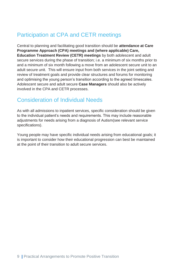## Participation at CPA and CETR meetings

Central to planning and facilitating good transition should be **attendance at Care Programme Approach (CPA) meetings and (where applicable) Care, Education Treatment Review (CETR) meetings** by both adolescent and adult secure services during the phase of transition; i.e. a minimum of six months prior to and a minimum of six month following a move from an adolescent secure unit to an adult secure unit. This will ensure input from both services in the joint setting and review of treatment goals and provide clear structures and forums for monitoring and optimising the young person's transition according to the agreed timescales. Adolescent secure and adult secure **Case Managers** should also be actively involved in the CPA and CETR processes.

## Consideration of Individual Needs

As with all admissions to inpatient services, specific consideration should be given to the individual patient's needs and requirements. This may include reasonable adjustments for needs arising from a diagnosis of Autism(see relevant service specifications).

Young people may have specific individual needs arising from educational goals; it is important to consider how their educational progression can best be maintained at the point of their transition to adult secure services.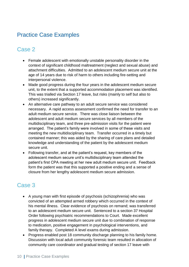## <span id="page-10-0"></span>Practice Case Examples

## Case 2

- Female adolescent with emotionally unstable personality disorder in the context of significant childhood maltreatment (neglect and sexual abuse) and attachment difficulties. Admitted to an adolescent medium secure unit at the age of 14 years due to risk of harm to others including fire-setting and interpersonal violence.
- Made good progress during the four years in the adolescent medium secure unit, to the extent that a supported accommodation placement was identified. This was trialled via Section 17 leave, but risks (mainly to self but also to others) increased significantly.
- An alternative care pathway to an adult secure service was considered necessary. A rapid access assessment confirmed the need for transfer to an adult medium secure service. There was close liaison between the adolescent and adult medium secure services by all members of the multidisciplinary team, and three pre-admission visits for the patient were arranged. The patient's family were involved in some of these visits and meeting the new multidisciplinary team. Transfer occurred in a timely but contained manner; this was aided by the sharing of care plans and detailed knowledge and understanding of the patient by the adolescent medium secure unit.
- Following transfer, and at the patient's request, key members of the adolescent medium secure unit's multidisciplinary team attended the patient's first CPA meeting at her new adult medium secure unit. Feedback form the patient was that this supported a positive ending and a sense of closure from her lengthy adolescent medium secure admission.

## Case 3

- A young man with first episode of psychosis (schizophrenia) who was convicted of an attempted armed robbery which occurred in the context of his mental illness. Clear evidence of psychosis on remand; was transferred to an adolescent medium secure unit. Sentenced to a section 37 Hospital Order following psychiatric recommendations to Court. Made excellent progress in adolescent medium secure unit due to combination of response to medication, positive engagement in psychological interventions, and family therapy. Completed A level exams during admission.
- Progress enabled post 18 community discharge planning to his family home. Discussion with local adult community forensic team resulted in allocation of community care coordinator and gradual testing of section 17 leave with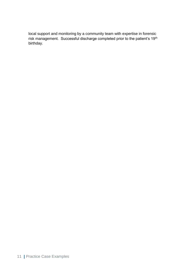local support and monitoring by a community team with expertise in forensic risk management. Successful discharge completed prior to the patient's 19th birthday.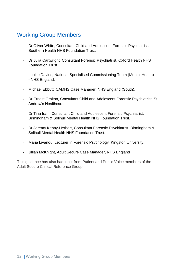## <span id="page-12-0"></span>Working Group Members

- Dr Oliver White, Consultant Child and Adolescent Forensic Psychiatrist, Southern Health NHS Foundation Trust.
- Dr Julia Cartwright, Consultant Forensic Psychiatrist, Oxford Health NHS Foundation Trust.
- Louise Davies, National Specialised Commissioning Team (Mental Health) - NHS England.
- Michael Ebbutt, CAMHS Case Manager, NHS England (South).
- Dr Ernest Gralton, Consultant Child and Adolescent Forensic Psychiatrist, St Andrew's Healthcare.
- Dr Tina Irani, Consultant Child and Adolescent Forensic Psychiatrist, Birmingham & Solihull Mental Health NHS Foundation Trust.
- Dr Jeremy Kenny-Herbert, Consultant Forensic Psychiatrist, Birmingham & Solihull Mental Health NHS Foundation Trust.
- Maria Livanou, Lecturer in Forensic Psychology, Kingston University.
- Jillian McKnight, Adult Secure Case Manager, NHS England

This guidance has also had input from Patient and Public Voice members of the Adult Secure Clinical Reference Group.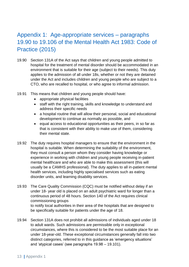## <span id="page-13-0"></span>Appendix 1: Age-appropriate services – paragraphs 19.90 to 19.106 of the Mental Health Act 1983: Code of Practice (2015)

- 19.90 Section 131A of the Act says that children and young people admitted to hospital for the treatment of mental disorder should be accommodated in an environment that is suitable for their age (subject to their needs). This duty applies to the admission of all under 18s, whether or not they are detained under the Act and includes children and young people who are subject to a CTO, who are recalled to hospital, or who agree to informal admission.
- 19.91 This means that children and young people should have:
	- appropriate physical facilities
	- staff with the right training, skills and knowledge to understand and address their specific needs
	- a hospital routine that will allow their personal, social and educational development to continue as normally as possible, and
	- equal access to educational opportunities as their peers, in so far as that is consistent with their ability to make use of them, considering their mental state.
- 19.92 The duty requires hospital managers to ensure that the environment in the hospital is suitable. When determining the suitability of the environment, they must consult a person whom they consider having knowledge or experience in working with children and young people receiving in-patient mental healthcare and who are able to make this assessment (this will usually be a CAMHS professional). The duty applies to all in-patient mental health services, including highly specialised services such as eating disorder units, and learning disability services.
- 19.93 The Care Quality Commission (CQC) must be notified without delay if an under 18- year old is placed on an adult psychiatric ward for longer than a continuous period of 48 hours. Section 140 of the Act requires clinical commissioning groups to notify local authorities in their area of the hospitals that are designed to be specifically suitable for patients under the age of 18.
- 19.94 Section 131A does not prohibit all admissions of individuals aged under 18 to adult wards. Such admissions are permissible only in exceptional circumstances, where this is considered to be the most suitable place for an under 18-year-old. These exceptional circumstances generally fall into two distinct categories, referred to in this guidance as 'emergency situations' and 'atypical cases' (see paragraphs 19.98 – 19.101).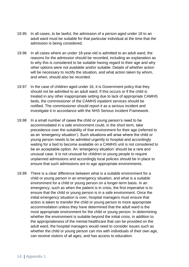- 19.95 In all cases, to be lawful, the admission of a person aged under 18 to an adult ward must be suitable for that particular individual at the time that the admission is being considered.
- 19.96 In all cases where an under 18-year-old is admitted to an adult ward, the reasons for the admission should be recorded, including an explanation as to why this is considered to be suitable having regard to their age and why other options were not available and/or suitable. Details of whether action will be necessary to rectify the situation, and what action taken by whom, and when, should also be recorded.
- 19.97 In the case of children aged under 16, it is Government policy that they should not be admitted to an adult ward. If this occurs or if the child is treated in any other inappropriate setting due to lack of appropriate CAMHS beds, the commissioner of the CAMHS inpatient services should be notified. The commissioner should report it as a serious incident and investigate it in accordance with the NHS Serious Incident Framework.
- 19.98 In a small number of cases the child or young person's need to be accommodated in a safe environment could, in the short term, take precedence over the suitability of that environment for their age (referred to as an 'emergency situation'). Such situations will arise where the child or young person needs to be admitted urgently to hospital and accordingly waiting for a bed to become available on a CAMHS unit is not considered to be an acceptable option. An 'emergency situation' should be a rare and unusual case. It is not unusual for children or young people to require unplanned admissions and accordingly local policies should be in place to ensure that such admissions are to age appropriate environments.
- 19.99 There is a clear difference between what is a suitable environment for a child or young person in an emergency situation, and what is a suitable environment for a child or young person on a longer-term basis. In an emergency, such as when the patient is in crisis, the first imperative is to ensure that the child or young person is in a safe environment. Once the initial emergency situation is over, hospital managers must ensure that action is taken to transfer the child or young person to more appropriate accommodation unless they have determined that the adult ward is the most appropriate environment for the child or young person. In determining whether the environment is suitable beyond the initial crisis, in addition to the appropriateness of the mental healthcare that can be provided on the adult ward, the hospital managers would need to consider issues such as whether the child or young person can mix with individuals of their own age, can receive visitors of all ages, and has access to education.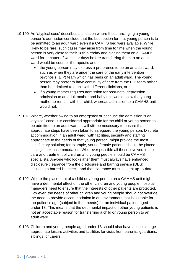- 19.100 An 'atypical case' describes a situation where those arranging a young person's admission conclude that the best option for that young person is to be admitted to an adult ward even if a CAMHS bed were available. While likely to be rare, such cases may arise from time to time when the young person is very close to their 18th birthday and placing them on a CAMHS ward for a matter of weeks or days before transferring them to an adult ward would be counter-therapeutic and:
	- the young person may express a preference to be on an adult ward, such as when they are under the care of the early intervention psychosis (EIP) team which has beds on an adult ward. The young person may prefer to have continuity of care from the EIP team rather than be admitted to a unit with different clinicians, or
	- if a young mother requires admission for post-natal depression, admission to an adult mother and baby unit would allow the young mother to remain with her child, whereas admission to a CAMHS unit would not.
- 19.101 Where, whether owing to an emergency or because the admission is an 'atypical' case, it is considered appropriate for the child or young person to be admitted to an adult ward, it will still be necessary to ensure that appropriate steps have been taken to safeguard the young person. Discrete accommodation in an adult ward, with facilities, security and staffing appropriate to the needs of that young person, might provide the most satisfactory solution; for example, young female patients should be placed in single sex accommodation. Wherever possible all those involved in the care and treatment of children and young people should be CAMHS specialists. Anyone who looks after them must always have enhanced disclosure clearance from the disclosure and barring service (DBS), including a barred list check, and that clearance must be kept up-to-date.
- 19.102 Where the placement of a child or young person on a CAMHS unit might have a detrimental effect on the other children and young people, hospital managers need to ensure that the interests of other patients are protected. However, the needs of other children and young people should not override the need to provide accommodation in an environment that is suitable for the patient's age (subject to their needs) for an individual patient aged under 18. This means that the detrimental impact on other young patients is not an acceptable reason for transferring a child or young person to an adult ward.
- 19.103 Children and young people aged under 18 should also have access to ageappropriate leisure activities and facilities for visits from parents, guardians, siblings, or carers.